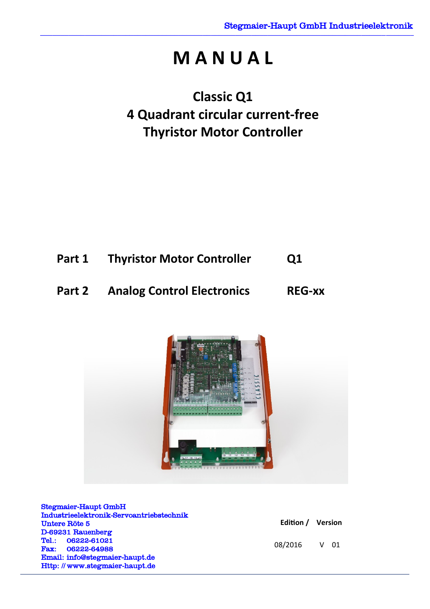# **M A N U A L**

# **Classic Q1 4 Quadrant circular current-free Thyristor Motor Controller**



# **Part 2 Analog Control Electronics REG-xx**



Stegmaier-Haupt GmbH Industrieelektronik-Servoantriebstechnik Untere Röte 5 D-69231 Rauenberg Tel.: 06222-61021 Fax: 06222-64988 Email: [info@stegmaier-haupt.de](mailto:info@stegmaier-haupt.de) Http: // [www.stegmaier-haupt.de](http://www.stegmaier-haupt.de/)

| Edition / | <b>Version</b> |
|-----------|----------------|
|-----------|----------------|

08/2016 V 01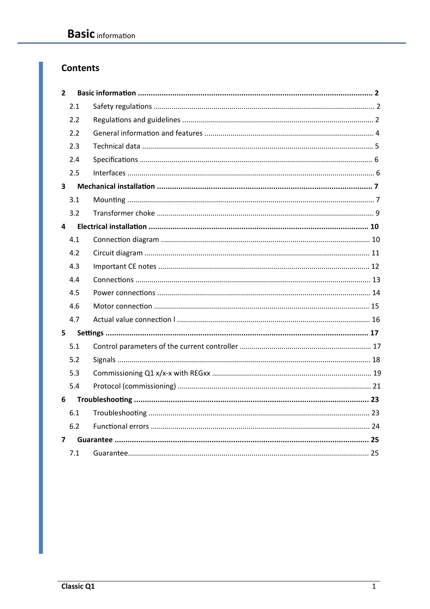# **Contents**

| $\overline{2}$          |     |  |
|-------------------------|-----|--|
|                         | 2.1 |  |
|                         | 2.2 |  |
|                         | 2.2 |  |
|                         | 2.3 |  |
|                         | 2.4 |  |
|                         | 2.5 |  |
| 3                       |     |  |
|                         | 3.1 |  |
|                         | 3.2 |  |
| 4                       |     |  |
|                         | 4.1 |  |
|                         | 4.2 |  |
|                         | 4.3 |  |
|                         | 4.4 |  |
|                         | 4.5 |  |
|                         | 4.6 |  |
|                         | 4.7 |  |
| 5                       |     |  |
|                         | 5.1 |  |
|                         | 5.2 |  |
|                         | 5.3 |  |
|                         | 5.4 |  |
| 6                       |     |  |
|                         | 6.1 |  |
|                         | 6.2 |  |
| $\overline{\mathbf{z}}$ |     |  |
|                         | 7.1 |  |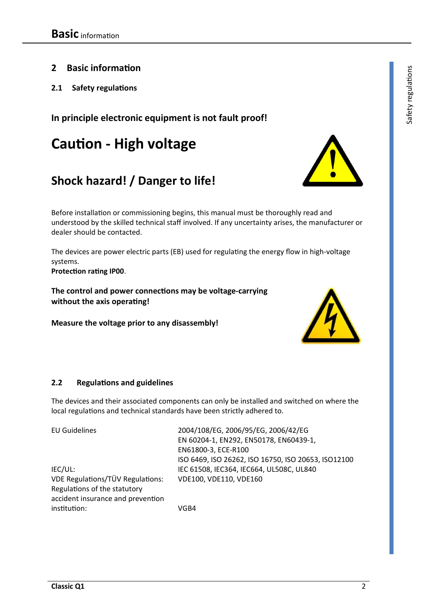- **2 Basic information**
- **2.1 Safety regulations**

# **In principle electronic equipment is not fault proof!**

# **Caution - High voltage**

# **Shock hazard! / Danger to life!**

Before installation or commissioning begins, this manual must be thoroughly read and understood by the skilled technical staff involved. If any uncertainty arises, the manufacturer or dealer should be contacted.

The devices are power electric parts (EB) used for regulating the energy flow in high-voltage systems.

**Protection rating IP00**.

**The control and power connections may be voltage-carrying without the axis operating!** 

**Measure the voltage prior to any disassembly!** 

#### **2.2 Regulations and guidelines**

The devices and their associated components can only be installed and switched on where the local regulations and technical standards have been strictly adhered to.

| <b>EU Guidelines</b>              | 2004/108/EG, 2006/95/EG, 2006/42/EG                 |
|-----------------------------------|-----------------------------------------------------|
|                                   | EN 60204-1, EN292, EN50178, EN60439-1,              |
|                                   | EN61800-3, ECE-R100                                 |
|                                   | ISO 6469, ISO 26262, ISO 16750, ISO 20653, ISO12100 |
| IEC/UL:                           | IEC 61508, IEC364, IEC664, UL508C, UL840            |
| VDE Regulations/TÜV Regulations:  | VDE100, VDE110, VDE160                              |
| Regulations of the statutory      |                                                     |
| accident insurance and prevention |                                                     |
| institution:                      | VGB4                                                |
|                                   |                                                     |

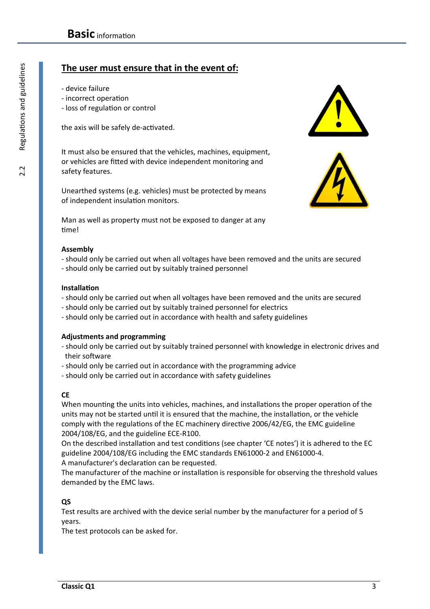# **The user must ensure that in the event of:**

- device failure
- incorrect operation
- loss of regulation or control

the axis will be safely de-activated.

It must also be ensured that the vehicles, machines, equipment, or vehicles are fitted with device independent monitoring and safety features.

Unearthed systems (e.g. vehicles) must be protected by means of independent insulation monitors.

Man as well as property must not be exposed to danger at any time!

#### **Assembly**

- should only be carried out when all voltages have been removed and the units are secured
- should only be carried out by suitably trained personnel

#### **Installation**

- should only be carried out when all voltages have been removed and the units are secured
- should only be carried out by suitably trained personnel for electrics
- should only be carried out in accordance with health and safety guidelines

#### **Adjustments and programming**

- should only be carried out by suitably trained personnel with knowledge in electronic drives and their software
- should only be carried out in accordance with the programming advice
- should only be carried out in accordance with safety guidelines

#### **CE**

When mounting the units into vehicles, machines, and installations the proper operation of the units may not be started until it is ensured that the machine, the installation, or the vehicle comply with the regulations of the EC machinery directive 2006/42/EG, the EMC guideline 2004/108/EG, and the guideline ECE-R100.

On the described installation and test conditions (see chapter 'CE notes') it is adhered to the EC guideline 2004/108/EG including the EMC standards EN61000-2 and EN61000-4. A manufacturer's declaration can be requested.

The manufacturer of the machine or installation is responsible for observing the threshold values demanded by the EMC laws.

#### **QS**

Test results are archived with the device serial number by the manufacturer for a period of 5 years.

The test protocols can be asked for.

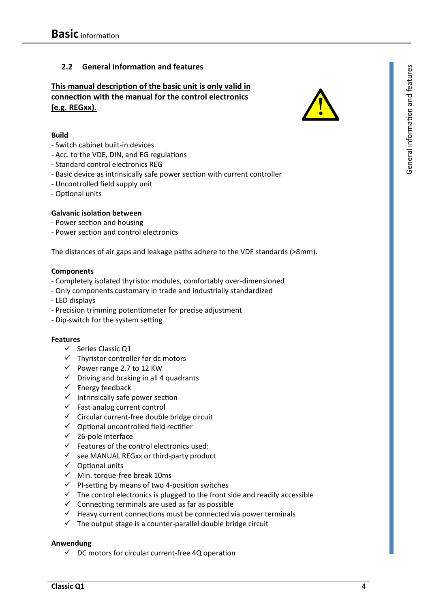#### **2.2 General information and features**

### **This manual description of the basic unit is only valid in connection with the manual for the control electronics (e.g. REGxx).**



- Switch cabinet built-in devices
- Acc. to the VDE, DIN, and EG regulations
- Standard control electronics REG
- Basic device as intrinsically safe power section with current controller
- Uncontrolled field supply unit
- Optional units

#### **Galvanic isolation between**

- Power section and housing
- Power section and control electronics

The distances of air gaps and leakage paths adhere to the VDE standards (>8mm).

#### **Components**

- Completely isolated thyristor modules, comfortably over-dimensioned
- Only components customary in trade and industrially standardized
- LED displays
- Precision trimming potentiometer for precise adjustment
- Dip-switch for the system setting

#### **Features**

- $\checkmark$  Series Classic Q1
- $\checkmark$  Thyristor controller for dc motors
- $\checkmark$  Power range 2.7 to 12 KW
- $\checkmark$  Driving and braking in all 4 quadrants
- $\checkmark$  Energy feedback
- $\checkmark$  Intrinsically safe power section
- $\checkmark$  Fast analog current control
- $\checkmark$  Circular current-free double bridge circuit
- $\checkmark$  Optional uncontrolled field rectifier
- $\checkmark$  26-pole interface
- $\checkmark$  Features of the control electronics used:
- $\checkmark$  see MANUAL REGxx or third-party product
- $\checkmark$  Optional units
- $\checkmark$  Min. torque-free break 10ms
- $\checkmark$  PI-setting by means of two 4-position switches
- $\checkmark$  The control electronics is plugged to the front side and readily accessible
- $\checkmark$  Connecting terminals are used as far as possible
- $\checkmark$  Heavy current connections must be connected via power terminals
- $\checkmark$  The output stage is a counter-parallel double bridge circuit

#### **Anwendung**

 $\checkmark$  DC motors for circular current-free 4Q operation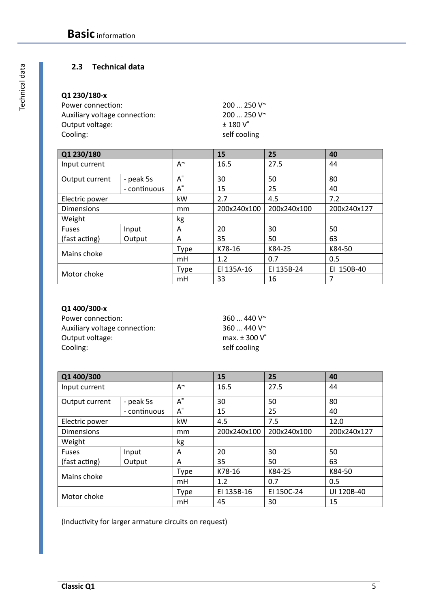#### **2.3 Technical data**

# **Q1 230/180-x**

| Power connection:             | $200250V^{\sim}$     |
|-------------------------------|----------------------|
| Auxiliary voltage connection: | $200250V^{\sim}$     |
| Output voltage:               | $+180V$ <sup>=</sup> |
| Cooling:                      | self cooling         |

| Q1 230/180        |              |                                               | 15          | 25          | 40            |
|-------------------|--------------|-----------------------------------------------|-------------|-------------|---------------|
| Input current     |              | $A^{\sim}$                                    | 16.5        | 27.5        | 44            |
| Output current    | - peak 5s    | $\mathsf{A}^{\scriptscriptstyle{\mathsf{S}}}$ | 30          | 50          | 80            |
|                   | - continuous | $A^=$                                         | 15          | 25          | 40            |
| Electric power    |              | kW                                            | 2.7         | 4.5         | 7.2           |
| <b>Dimensions</b> |              | mm                                            | 200x240x100 | 200x240x100 | 200x240x127   |
| Weight            |              | kg                                            |             |             |               |
| <b>Fuses</b>      | Input        | A                                             | 20          | 30          | 50            |
| (fast acting)     | Output       | A                                             | 35          | 50          | 63            |
| Mains choke       |              | Type                                          | K78-16      | K84-25      | K84-50        |
|                   |              | mH                                            | 1.2         | 0.7         | 0.5           |
|                   |              | Type                                          | El 135A-16  | EI 135B-24  | 150B-40<br>FΙ |
| Motor choke       |              | mH                                            | 33          | 16          | 7             |

#### **Q1 400/300-x**

| Power connection:             |
|-------------------------------|
| Auxiliary voltage connection: |
| Output voltage:               |
| Cooling:                      |

360 ... 440 V $\sim$ 360 ... 440 V~ max.  $\pm$  300  $\sqrt{\ }$ self cooling

| Q1 400/300        |              |             | 15          | 25          | 40          |
|-------------------|--------------|-------------|-------------|-------------|-------------|
| Input current     |              | A~          | 16.5        | 27.5        | 44          |
| Output current    | - peak 5s    | $A^=$       | 30          | 50          | 80          |
|                   | - continuous | $A^=$       | 15          | 25          | 40          |
| Electric power    |              | kW          | 4.5         | 7.5         | 12.0        |
| <b>Dimensions</b> |              | mm          | 200x240x100 | 200x240x100 | 200x240x127 |
| Weight            |              | kg          |             |             |             |
| <b>Fuses</b>      | Input        | A           | 20          | 30          | 50          |
| (fast acting)     | Output       | A           | 35          | 50          | 63          |
| Mains choke       |              | Type        | K78-16      | K84-25      | K84-50      |
|                   |              | mH          | 1.2         | 0.7         | 0.5         |
| Motor choke       |              | <b>Type</b> | EI 135B-16  | EI 150C-24  | UI 120B-40  |
|                   |              | mH          | 45          | 30          | 15          |

(Inductivity for larger armature circuits on request)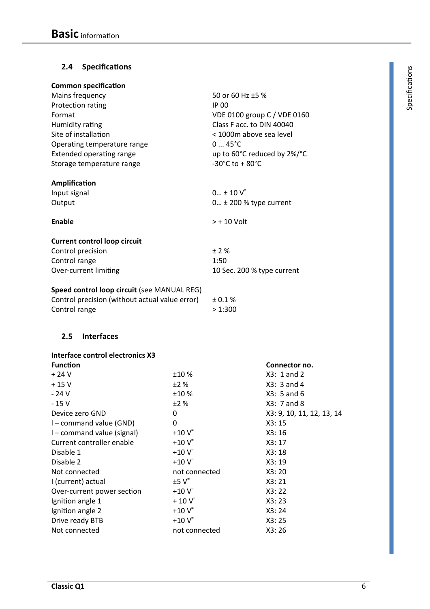# **2.4 Specifications** <sup>s</sup>

| <b>Common specification</b>                    |                                      |
|------------------------------------------------|--------------------------------------|
| Mains frequency                                | 50 or 60 Hz ±5 %                     |
| Protection rating                              | IP 00                                |
| Format                                         | VDE 0100 group C / VDE 0160          |
| Humidity rating                                | Class F acc. to DIN 40040            |
| Site of installation                           | < 1000m above sea level              |
| Operating temperature range                    | $045^{\circ}C$                       |
| <b>Extended operating range</b>                | up to 60°C reduced by 2%/°C          |
| Storage temperature range                      | $-30^{\circ}$ C to + 80 $^{\circ}$ C |
|                                                |                                      |
| Amplification                                  |                                      |
| Input signal                                   | $0 \pm 10 V$                         |
| Output                                         | $0 \pm 200$ % type current           |
|                                                |                                      |
| <b>Enable</b>                                  | $> +10$ Volt                         |
|                                                |                                      |
| <b>Current control loop circuit</b>            |                                      |
| Control precision                              | ±2%                                  |
| Control range                                  | 1:50                                 |
| Over-current limiting                          | 10 Sec. 200 % type current           |
|                                                |                                      |
| Speed control loop circuit (see MANUAL REG)    |                                      |
| Control precision (without actual value error) | ± 0.1 %                              |
| Control range                                  | >1:300                               |

## **2.5 Interfaces**

| Interface control electronics X3 |                     |                           |
|----------------------------------|---------------------|---------------------------|
| <b>Function</b>                  |                     | Connector no.             |
| $+24V$                           | ±10%                | $X3: 1$ and 2             |
| $+15V$                           | ±2%                 | $X3: 3$ and 4             |
| - 24 V                           | ±10%                | $X3: 5$ and 6             |
| $-15V$                           | ±2%                 | X3: 7 and 8               |
| Device zero GND                  | 0                   | X3: 9, 10, 11, 12, 13, 14 |
| I – command value (GND)          | 0                   | X3:15                     |
| I – command value (signal)       | $+10V$              | X3:16                     |
| Current controller enable        | $+10V$ <sup>=</sup> | X3:17                     |
| Disable 1                        | $+10V$ <sup>=</sup> | X3:18                     |
| Disable 2                        | $+10V$              | X3:19                     |
| Not connected                    | not connected       | X3:20                     |
| I (current) actual               | $±5 V=$             | X3:21                     |
| Over-current power section       | $+10V$ <sup>=</sup> | X3:22                     |
| Ignition angle 1                 | $+10V$ <sup>=</sup> | X3:23                     |
| Ignition angle 2                 | $+10V$              | X3:24                     |
| Drive ready BTB                  | $+10V$              | X3:25                     |
| Not connected                    | not connected       | X3:26                     |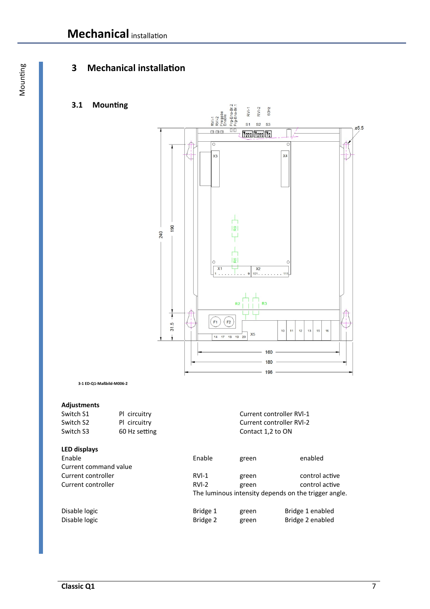# **3 Mechanical installation**

## **3.1 Mounting**



**3-1 ED-Q1-Maßbild-M006-2** 

#### **Adjustments**

| Switch S1             | PI circuitry  |          |                   | <b>Current controller RVI-1</b>                      |
|-----------------------|---------------|----------|-------------------|------------------------------------------------------|
| Switch S2             | PI circuitry  |          |                   | Current controller RVI-2                             |
| Switch S3             | 60 Hz setting |          | Contact 1,2 to ON |                                                      |
| <b>LED displays</b>   |               |          |                   |                                                      |
| Enable                |               | Enable   | green             | enabled                                              |
| Current command value |               |          |                   |                                                      |
| Current controller    |               | $RVI-1$  | green             | control active                                       |
| Current controller    |               | $RVI-2$  | green             | control active                                       |
|                       |               |          |                   | The luminous intensity depends on the trigger angle. |
| Disable logic         |               | Bridge 1 | green             | Bridge 1 enabled                                     |
| Disable logic         |               | Bridge 2 | green             | Bridge 2 enabled                                     |
|                       |               |          |                   |                                                      |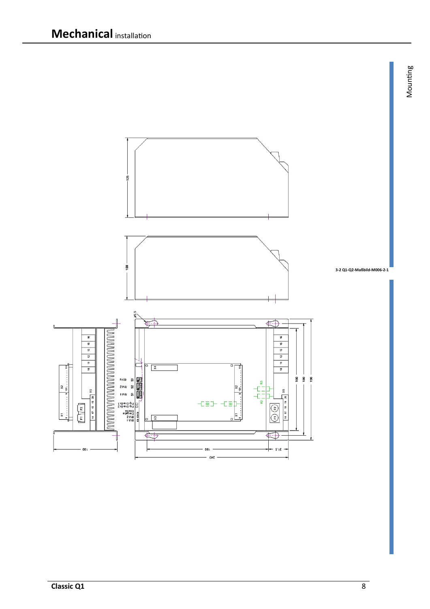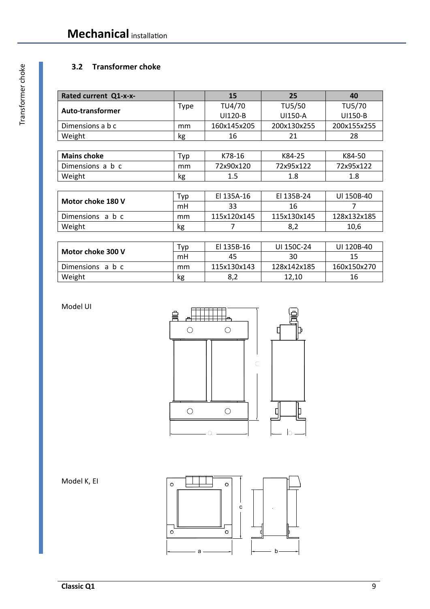# **3.2 Transformer choke**

| Rated current Q1-x-x-   |             | 15          | 25          | 40          |
|-------------------------|-------------|-------------|-------------|-------------|
| <b>Auto-transformer</b> | <b>Type</b> | TU4/70      | TU5/50      | TU5/70      |
|                         |             | UI120-B     | UI150-A     | UI150-B     |
| Dimensions a b c        | mm          | 160x145x205 | 200x130x255 | 200x155x255 |
| Weight                  | kg          | 16          | 21          | 28          |
|                         |             |             |             |             |
| <b>Mains choke</b>      | Typ         | K78-16      | K84-25      | K84-50      |
| Dimensions a b c        | mm          | 72x90x120   | 72x95x122   | 72x95x122   |
| Weight                  | kg          | 1.5         | 1.8         | 1.8         |
|                         |             |             |             |             |
| Motor choke 180 V       | Typ         | El 135A-16  | El 135B-24  | UI 150B-40  |
|                         | mH          | 33          | 16          | 7           |
| Dimensions a b c        | mm          | 115x120x145 | 115x130x145 | 128x132x185 |
| Weight                  | kg          | 7           | 8,2         | 10,6        |
|                         |             |             |             |             |

| Motor choke 300 V | тур | EI 135B-16  | UI 150C-24  | UI 120B-40  |
|-------------------|-----|-------------|-------------|-------------|
|                   | mH  | 45          | 30          | 15          |
| Dimensions a b c  | mm  | 115x130x143 | 128x142x185 | 160x150x270 |
| Weight            | kg  | 8,2         | 12.10       | 16          |

Model UI





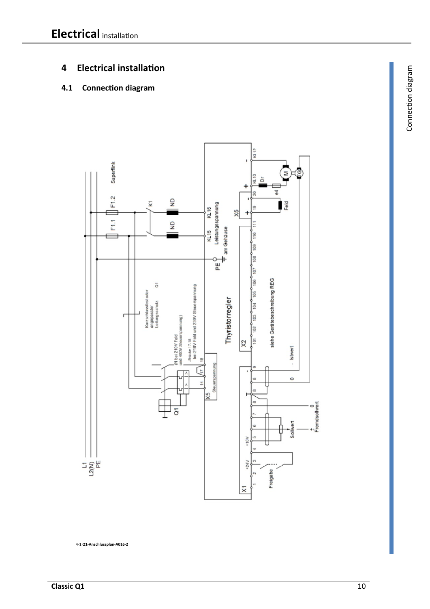# **4 Electrical installation**

# **4.1 Connection diagram**



4-1 **Q1-Anschlussplan-A016-2**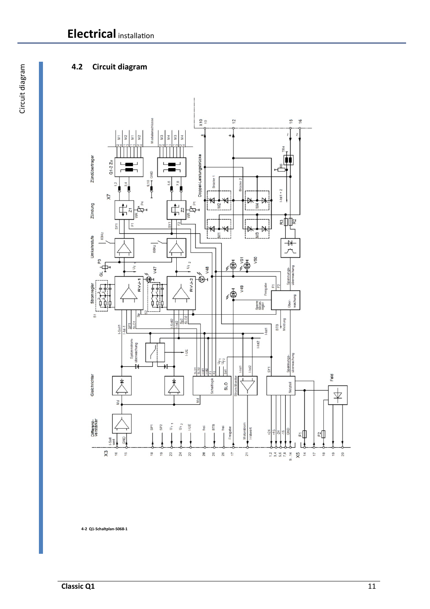# **4.2 Circuit diagram**



**4-2 Q1-Schaltplan-S068-1**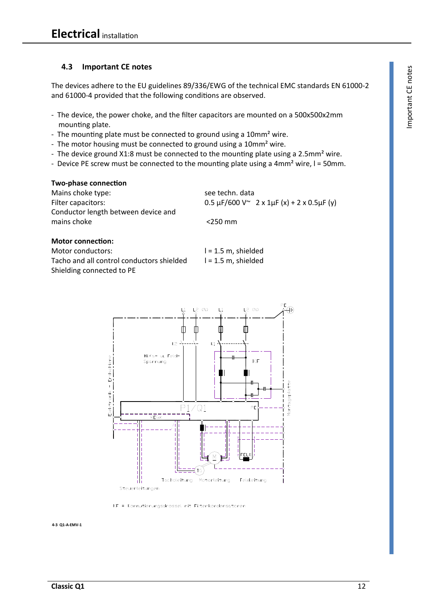**4.3 Important CE notes**<br>
e devices adhere to the EU guidelines 89/336/EWG of the technical EMC standards EN 61000-2<br>
d 61000-4 provided that the following conditions are observed.<br>
The device, the power choke, and the fil The devices adhere to the EU guidelines 89/336/EWG of the technical EMC standards EN 61000-2 and 61000-4 provided that the following conditions are observed.

- The device, the power choke, and the filter capacitors are mounted on a 500x500x2mm mounting plate.
- The mounting plate must be connected to ground using a 10mm<sup>2</sup> wire.
- The motor housing must be connected to ground using a 10mm<sup>2</sup> wire.
- The device ground X1:8 must be connected to the mounting plate using a 2.5mm<sup>2</sup> wire.
- Device PE screw must be connected to the mounting plate using a  $4mm<sup>2</sup>$  wire,  $l = 50mm$ .

#### **Two-phase connection**

Mains choke type: see techn. data Conductor length between device and mains choke <250 mm

Filter capacitors: 0.5  $\mu$ F/600 V $\sim$  2 x 1 $\mu$ F (x) + 2 x 0.5 $\mu$ F (y)

#### **Motor connection:**

Motor conductors: l = 1.5 m, shielded Tacho and all control conductors shielded  $l = 1.5$  m, shielded Shielding connected to PE



KF = Kommutierungsdrossel mit Filterkondensatoren

**4-3 Q1-A-EMV-1**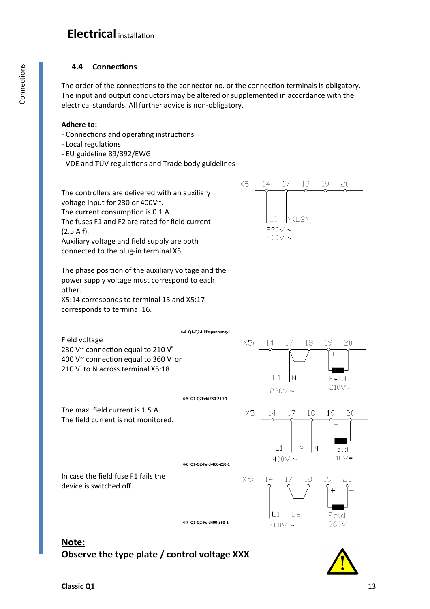#### **4.4 Connections**

The order of the connections to the connector no. or the connection terminals is obligatory. The input and output conductors may be altered or supplemented in accordance with the electrical standards. All further advice is non-obligatory.

#### **Adhere to:**

- Connections and operating instructions
- Local regulations
- EU guideline 89/392/EWG
- VDE and TÜV regulations and Trade body guidelines

The controllers are delivered with an auxiliary voltage input for 230 or 400V~. The current consumption is 0.1 A. The fuses F1 and F2 are rated for field current  $(2.5 A f).$ Auxiliary voltage and field supply are both

connected to the plug-in terminal X5.

The phase position of the auxiliary voltage and the power supply voltage must correspond to each other.

X5:14 corresponds to terminal 15 and X5:17 corresponds to terminal 16.





**4-4 Q1-Q2-Hilfsspannung-1** 

**Observe the type plate / control voltage XXX** 

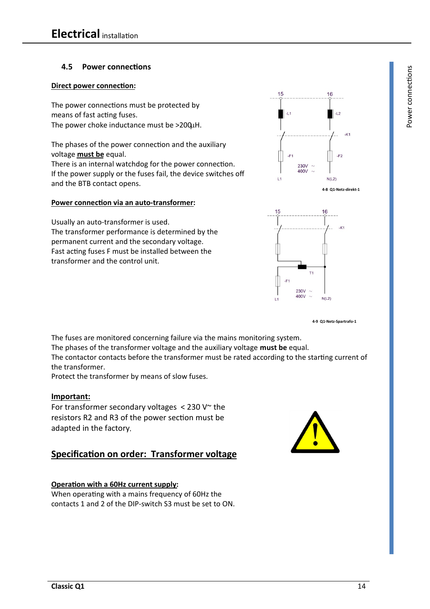#### **4.5 Power connections**

#### **Direct power connection:**

The power connections must be protected by means of fast acting fuses. The power choke inductance must be >200uH.

The phases of the power connection and the auxiliary voltage **must be** equal.

There is an internal watchdog for the power connection. If the power supply or the fuses fail, the device switches off and the BTB contact opens.

#### **Power connection via an auto-transformer:**

Usually an auto-transformer is used. The transformer performance is determined by the permanent current and the secondary voltage. Fast acting fuses F must be installed between the transformer and the control unit.





**4-9 Q1-Netz-Spartrafo-1** 

The fuses are monitored concerning failure via the mains monitoring system. The phases of the transformer voltage and the auxiliary voltage **must be** equal. The contactor contacts before the transformer must be rated according to the starting current of the transformer.

Protect the transformer by means of slow fuses.

#### **Important:**

For transformer secondary voltages  $<$  230 V $\sim$  the resistors R2 and R3 of the power section must be adapted in the factory.

# **Specification on order: Transformer voltage**

#### **Operation with a 60Hz current supply:**

When operating with a mains frequency of 60Hz the contacts 1 and 2 of the DIP-switch S3 must be set to ON.



ទី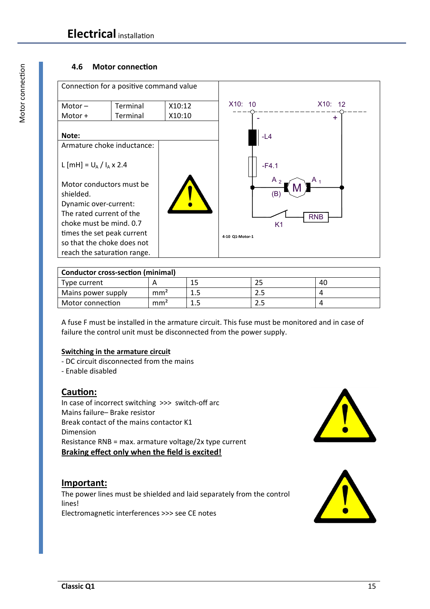#### **4.6 Motor connection**



| <b>Conductor cross-section (minimal)</b> |                 |  |   |    |
|------------------------------------------|-----------------|--|---|----|
| Type current                             |                 |  |   | 40 |
| Mains power supply                       | mm <sup>2</sup> |  |   |    |
| Motor connection                         | mm <sup>2</sup> |  | ـ |    |

A fuse F must be installed in the armature circuit. This fuse must be monitored and in case of failure the control unit must be disconnected from the power supply.

#### **Switching in the armature circuit**

- DC circuit disconnected from the mains

- Enable disabled

# **Caution:**

In case of incorrect switching >>> switch-off arc Mains failure– Brake resistor Break contact of the mains contactor K1 Dimension Resistance RNB = max. armature voltage/2x type current **Braking effect only when the field is excited!**

## **Important:**

The power lines must be shielded and laid separately from the control lines! Electromagnetic interferences >>> see CE notes



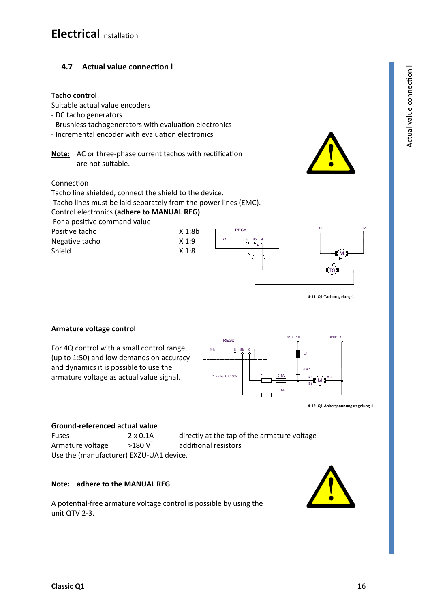#### **4.7 Actual value connection l Tacho control**  Suitable actual value encoders - DC tacho generators - Brushless tachogenerators with evaluation electronics - Incremental encoder with evaluation electronics **Note:** AC or three-phase current tachos with rectification are not suitable. Connection Tacho line shielded, connect the shield to the device. Tacho lines must be laid separately from the power lines (EMC). Control electronics **(adhere to MANUAL REG)**  For a positive command value Positive tacho X 1:8b Negative tacho X 1:9 Shield X 1:8 X1: + I-8 REGx 8b 9 TG M 10 12

**4-11 Q1-Tachoregelung-1** 

1

**4-12 Q1-Ankerspannungsregelung-1** 

A M

10 X10: 12

#### **Armature voltage control**

For 4Q control with a small control range (up to 1:50) and low demands on accuracy and dynamics it is possible to use the armature voltage as actual value signal.

# **Ground-referenced actual value**

Armature voltage  $>180 \text{ V}$  additional resistors Use the (manufacturer) EXZU-UA1 device.

Fuses 2 x 0.1A directly at the tap of the armature voltage

 $0.14$ 

0.1A  $\top$  A

X10:

(B)

-L4

-F4.1

\* nur bei U >180V \*

 $X1: 8$ 

REGx

**Note: adhere to the MANUAL REG** 

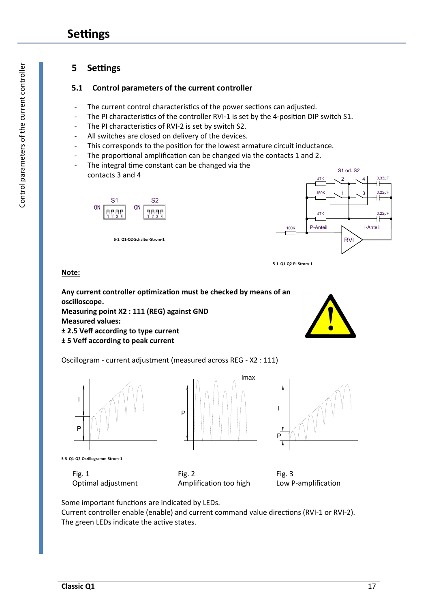# **Settings**

# **5 Settings**

### **5.1 Control parameters of the current controller**

- The current control characteristics of the power sections can adjusted.
- The PI characteristics of the controller RVI-1 is set by the 4-position DIP switch S1.
- The PI characteristics of RVI-2 is set by switch S2.
- All switches are closed on delivery of the devices.
- This corresponds to the position for the lowest armature circuit inductance.
- The proportional amplification can be changed via the contacts 1 and 2.
- The integral time constant can be changed via the contacts 3 and 4



**5-2 Q1-Q2-Schalter-Strom-1** 





#### **Note:**

**Any current controller optimization must be checked by means of an oscilloscope. Measuring point X2 : 111 (REG) against GND** 

**Measured values:** 

**± 2.5 Veff according to type current** 

#### **± 5 Veff according to peak current**

Oscillogram - current adjustment (measured across REG - X2 : 111)



**5-3 Q1-Q2-Oszillogramm-Strom-1** 

 Fig. 1 Optimal adjustment





Fig. 3 Low P-amplification

 Fig. 2 Amplification too high

Some important functions are indicated by LEDs.

Current controller enable (enable) and current command value directions (RVI-1 or RVI-2). The green LEDs indicate the active states.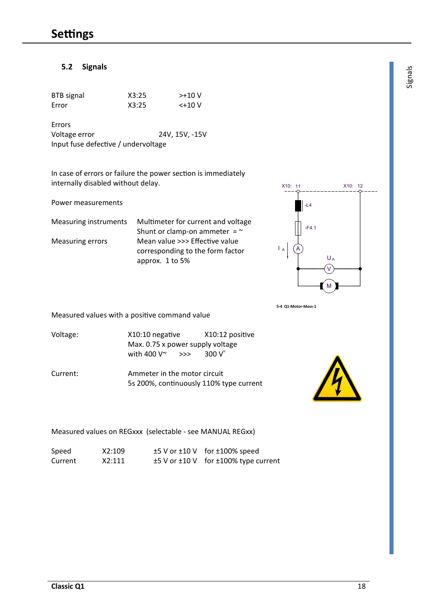#### **5.2 Signals** <sup>s</sup>

| <b>BTB</b> signal | X3:25 | $> +10V$ |
|-------------------|-------|----------|
| Error             | X3:25 | <+10 V   |

Errors Voltage error 24V, 15V, -15V Input fuse defective / undervoltage

In case of errors or failure the power section is immediately internally disabled without delay.

Power measurements

Measuring instruments Multimeter for current and voltage Shunt or clamp-on ammeter  $=$   $\sim$ Measuring errors Mean value >>> Effective value corresponding to the form factor approx. 1 to 5%



**5-4 Q1-Motor-Mess-1** 

Measured values with a positive command value

- Voltage: X10:10 negative X10:12 positive Max. 0.75 x power supply voltage with 400  $V^{\sim}$  >>> 300  $V^{\dagger}$
- Current: Ammeter in the motor circuit 5s 200%, continuously 110% type current



#### Measured values on REGxxx (selectable - see MANUAL REGxx)

| Speed   |  |
|---------|--|
| Current |  |

 $X2:109$   $\pm 5$  V or  $\pm 10$  V for  $\pm 100\%$  speed  $X2:111$   $±5$  V or  $±10$  V for  $±100%$  type current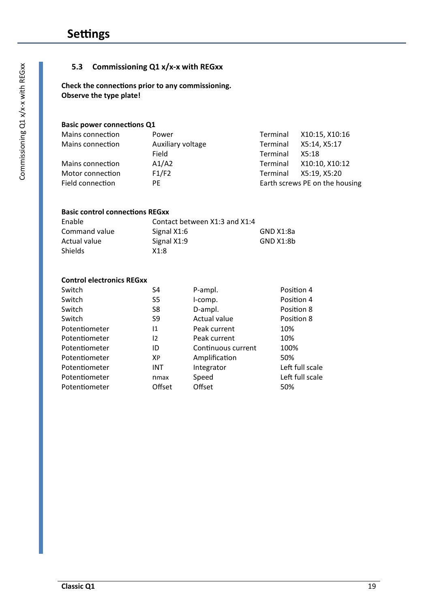#### **5.3 Commissioning Q1 x/x-x with REGxx**

**Check the connections prior to any commissioning. Observe the type plate!** 

#### **Basic power connections Q1**

| Mains connection | Power             | Terminal | X10:15, X10:16                 |
|------------------|-------------------|----------|--------------------------------|
| Mains connection | Auxiliary voltage | Terminal | X5:14, X5:17                   |
|                  | Field             | Terminal | X5:18                          |
| Mains connection | A1/A2             | Terminal | X10:10, X10:12                 |
| Motor connection | F1/F2             | Terminal | X5:19, X5:20                   |
| Field connection | PF                |          | Earth screws PE on the housing |

#### **Basic control connections REGxx**

| Enable        | Contact between X1:3 and X1:4 |           |
|---------------|-------------------------------|-----------|
| Command value | Signal X1:6                   | GND X1:8a |
| Actual value  | Signal X1:9                   | GND X1:8b |
| Shields       | X1:8                          |           |

#### **Control electronics REGxx**

| S4         | P-ampl.            | Position 4      |
|------------|--------------------|-----------------|
| S5         | I-comp.            | Position 4      |
| S8         | D-ampl.            | Position 8      |
| S9         | Actual value       | Position 8      |
| 11         | Peak current       | 10%             |
| 12         | Peak current       | 10%             |
| ID         | Continuous current | 100%            |
| ХP         | Amplification      | 50%             |
| <b>INT</b> | Integrator         | Left full scale |
| nmax       | Speed              | Left full scale |
| Offset     | Offset             | 50%             |
|            |                    |                 |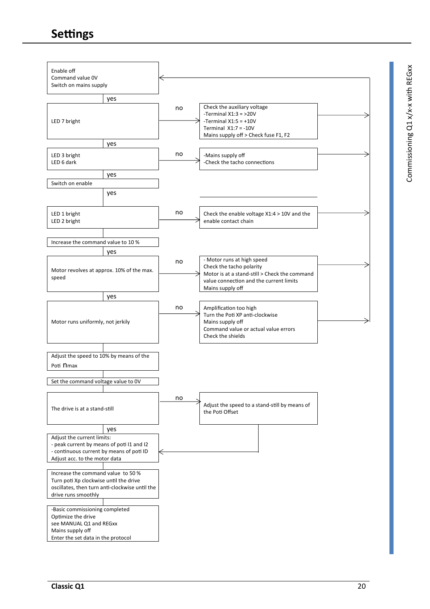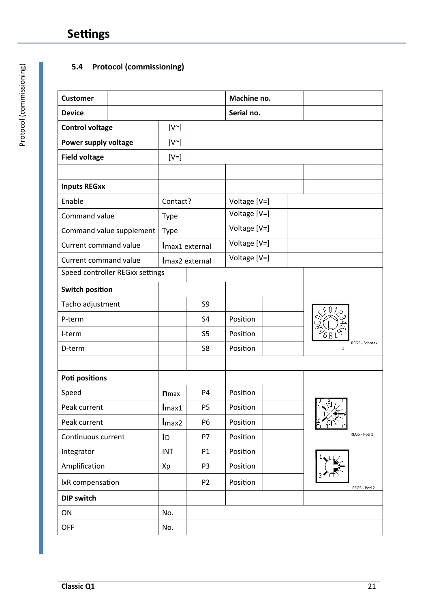# **5.4 Protocol (commissioning)**

| <b>Customer</b>        |                                 |              |                | Machine no.  |                                |
|------------------------|---------------------------------|--------------|----------------|--------------|--------------------------------|
| <b>Device</b>          |                                 |              |                | Serial no.   |                                |
| <b>Control voltage</b> |                                 | $[V^{\sim}]$ |                |              |                                |
| Power supply voltage   |                                 | $[V^{\sim}]$ |                |              |                                |
| <b>Field voltage</b>   |                                 | $[V=]$       |                |              |                                |
|                        |                                 |              |                |              |                                |
| <b>Inputs REGxx</b>    |                                 |              |                |              |                                |
| Enable                 |                                 | Contact?     |                | Voltage [V=] |                                |
| Command value          |                                 | <b>Type</b>  |                | Voltage [V=] |                                |
|                        | Command value supplement        | <b>Type</b>  |                | Voltage [V=] |                                |
| Current command value  |                                 |              | Imax1 external | Voltage [V=] |                                |
| Current command value  |                                 |              | Imax2 external | Voltage [V=] |                                |
|                        | Speed controller REGxx settings |              |                |              |                                |
| <b>Switch position</b> |                                 |              |                |              |                                |
| Tacho adjustment       |                                 |              | S <sub>9</sub> |              |                                |
| P-term                 |                                 |              | S <sub>4</sub> | Position     |                                |
| I-term                 |                                 |              | S <sub>5</sub> | Position     |                                |
| D-term                 |                                 |              | S <sub>8</sub> | Position     | REG5 - Schotax<br>$\mathbf{1}$ |
|                        |                                 |              |                |              |                                |
| <b>Poti positions</b>  |                                 |              |                |              |                                |
| Speed                  |                                 | <b>n</b> max | P <sub>4</sub> | Position     |                                |
| Peak current           |                                 | Imax1        | P <sub>5</sub> | Position     | $\vert_0$ .                    |
| Peak current           |                                 | Imax2        | <b>P6</b>      | Position     |                                |
| Continuous current     |                                 | ID           | P7             | Position     | REG5 - Poti 1                  |
| Integrator             |                                 | <b>INT</b>   | P1             | Position     |                                |
| Amplification          |                                 | Xp           | P <sub>3</sub> | Position     |                                |
| IxR compensation       |                                 |              | P <sub>2</sub> | Position     | REG5 - Poti 2                  |
| <b>DIP switch</b>      |                                 |              |                |              |                                |
| ON                     |                                 | No.          |                |              |                                |
| <b>OFF</b>             |                                 | No.          |                |              |                                |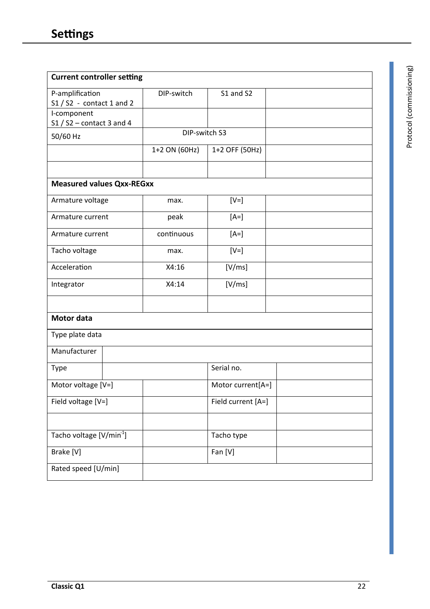| <b>Current controller setting</b>    |               |                    |  |
|--------------------------------------|---------------|--------------------|--|
| P-amplification                      | DIP-switch    | S1 and S2          |  |
| $S1 / S2 - \text{contact} 1$ and 2   |               |                    |  |
| I-component                          |               |                    |  |
| $S1 / S2$ – contact 3 and 4          |               |                    |  |
| 50/60 Hz                             | DIP-switch S3 |                    |  |
|                                      | 1+2 ON (60Hz) | 1+2 OFF (50Hz)     |  |
|                                      |               |                    |  |
| <b>Measured values Qxx-REGxx</b>     |               |                    |  |
| Armature voltage                     | max.          | $[V=]$             |  |
| Armature current                     | peak          | $[A=]$             |  |
| Armature current                     | continuous    | $[A=]$             |  |
| Tacho voltage                        | max.          | $[V=]$             |  |
| Acceleration                         | X4:16         | [V/ms]             |  |
| Integrator                           | X4:14         | [V/ms]             |  |
|                                      |               |                    |  |
| <b>Motor data</b>                    |               |                    |  |
| Type plate data                      |               |                    |  |
| Manufacturer                         |               |                    |  |
| <b>Type</b>                          |               | Serial no.         |  |
| Motor voltage [V=]                   |               | Motor current[A=]  |  |
| Field voltage [V=]                   |               | Field current [A=] |  |
|                                      |               |                    |  |
| Tacho voltage [V/min <sup>-1</sup> ] |               | Tacho type         |  |
| Brake [V]                            |               | Fan [V]            |  |
| Rated speed [U/min]                  |               |                    |  |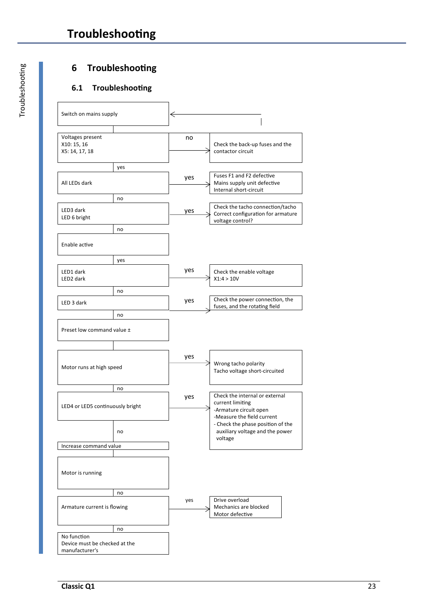# **6 Troubleshooting**

## **6.1 Troubleshooting**

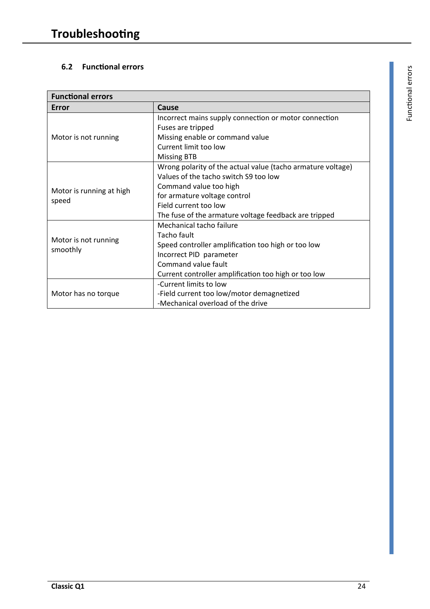# **6.2 Functional errors**

| <b>Functional errors</b> |                                                             |  |  |  |
|--------------------------|-------------------------------------------------------------|--|--|--|
| Error                    | Cause                                                       |  |  |  |
|                          | Incorrect mains supply connection or motor connection       |  |  |  |
|                          | Fuses are tripped                                           |  |  |  |
| Motor is not running     | Missing enable or command value                             |  |  |  |
|                          | Current limit too low                                       |  |  |  |
|                          | <b>Missing BTB</b>                                          |  |  |  |
|                          | Wrong polarity of the actual value (tacho armature voltage) |  |  |  |
|                          | Values of the tacho switch S9 too low                       |  |  |  |
| Motor is running at high | Command value too high                                      |  |  |  |
|                          | for armature voltage control                                |  |  |  |
| speed                    | Field current too low                                       |  |  |  |
|                          | The fuse of the armature voltage feedback are tripped       |  |  |  |
|                          | Mechanical tacho failure                                    |  |  |  |
| Motor is not running     | Tacho fault                                                 |  |  |  |
| smoothly                 | Speed controller amplification too high or too low          |  |  |  |
|                          | Incorrect PID parameter                                     |  |  |  |
|                          | Command value fault                                         |  |  |  |
|                          | Current controller amplification too high or too low        |  |  |  |
|                          | -Current limits to low                                      |  |  |  |
| Motor has no torque      | -Field current too low/motor demagnetized                   |  |  |  |
|                          | -Mechanical overload of the drive                           |  |  |  |